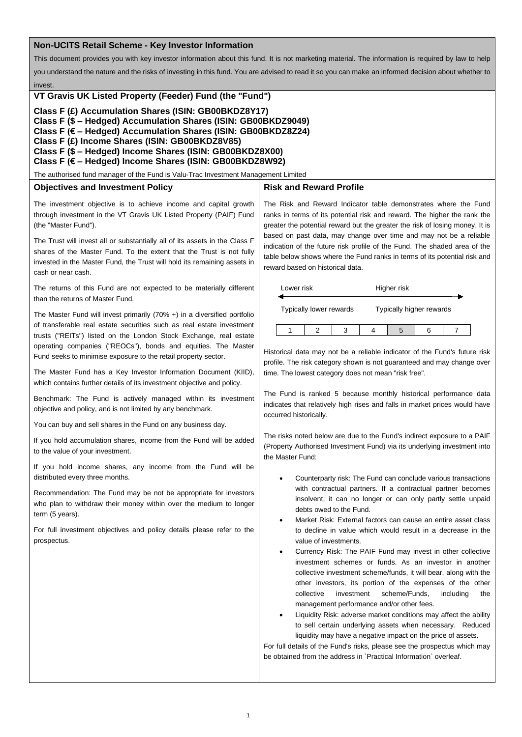## **Non-UCITS Retail Scheme - Key Investor Information**

This document provides you with key investor information about this fund. It is not marketing material. The information is required by law to help

you understand the nature and the risks of investing in this fund. You are advised to read it so you can make an informed decision about whether to

invest.

### **VT Gravis UK Listed Property (Feeder) Fund (the "Fund")**

**Class F (£) Accumulation Shares (ISIN: GB00BKDZ8Y17)**

**Class F (\$ – Hedged) Accumulation Shares (ISIN: GB00BKDZ9049)**

**Class F (€ – Hedged) Accumulation Shares (ISIN: GB00BKDZ8Z24)**

**Class F (£) Income Shares (ISIN: GB00BKDZ8V85)**

**Class F (\$ – Hedged) Income Shares (ISIN: GB00BKDZ8X00)**

**Class F (€ – Hedged) Income Shares (ISIN: GB00BKDZ8W92)**

The authorised fund manager of the Fund is Valu-Trac Investment Management Limited

## **Objectives and Investment Policy**

# **Risk and Reward Profile**

The investment objective is to achieve income and capital growth through investment in the VT Gravis UK Listed Property (PAIF) Fund (the "Master Fund").

The Trust will invest all or substantially all of its assets in the Class F shares of the Master Fund. To the extent that the Trust is not fully invested in the Master Fund, the Trust will hold its remaining assets in cash or near cash.

The returns of this Fund are not expected to be materially different than the returns of Master Fund.

The Master Fund will invest primarily (70% +) in a diversified portfolio of transferable real estate securities such as real estate investment trusts ("REITs") listed on the London Stock Exchange, real estate operating companies ("REOCs"), bonds and equities. The Master Fund seeks to minimise exposure to the retail property sector.

The Master Fund has a Key Investor Information Document (KIID), which contains further details of its investment objective and policy.

Benchmark: The Fund is actively managed within its investment objective and policy, and is not limited by any benchmark.

You can buy and sell shares in the Fund on any business day.

If you hold accumulation shares, income from the Fund will be added to the value of your investment.

If you hold income shares, any income from the Fund will be distributed every three months.

Recommendation: The Fund may be not be appropriate for investors who plan to withdraw their money within over the medium to longer term (5 years).

For full investment objectives and policy details please refer to the prospectus.

The Risk and Reward Indicator table demonstrates where the Fund ranks in terms of its potential risk and reward. The higher the rank the greater the potential reward but the greater the risk of losing money. It is based on past data, may change over time and may not be a reliable indication of the future risk profile of the Fund. The shaded area of the table below shows where the Fund ranks in terms of its potential risk and reward based on historical data.

| Lower risk              |  |  | Higher risk              |  |  |  |
|-------------------------|--|--|--------------------------|--|--|--|
| Typically lower rewards |  |  | Typically higher rewards |  |  |  |
|                         |  |  |                          |  |  |  |

Historical data may not be a reliable indicator of the Fund's future risk profile. The risk category shown is not guaranteed and may change over time. The lowest category does not mean "risk free".

The Fund is ranked 5 because monthly historical performance data indicates that relatively high rises and falls in market prices would have occurred historically.

The risks noted below are due to the Fund's indirect exposure to a PAIF (Property Authorised Investment Fund) via its underlying investment into the Master Fund:

- Counterparty risk: The Fund can conclude various transactions with contractual partners. If a contractual partner becomes insolvent, it can no longer or can only partly settle unpaid debts owed to the Fund.
- Market Risk: External factors can cause an entire asset class to decline in value which would result in a decrease in the value of investments.
- Currency Risk: The PAIF Fund may invest in other collective investment schemes or funds. As an investor in another collective investment scheme/funds, it will bear, along with the other investors, its portion of the expenses of the other collective investment scheme/Funds, including the management performance and/or other fees.
- Liquidity Risk: adverse market conditions may affect the ability to sell certain underlying assets when necessary. Reduced liquidity may have a negative impact on the price of assets.

For full details of the Fund's risks, please see the prospectus which may be obtained from the address in `Practical Information` overleaf.